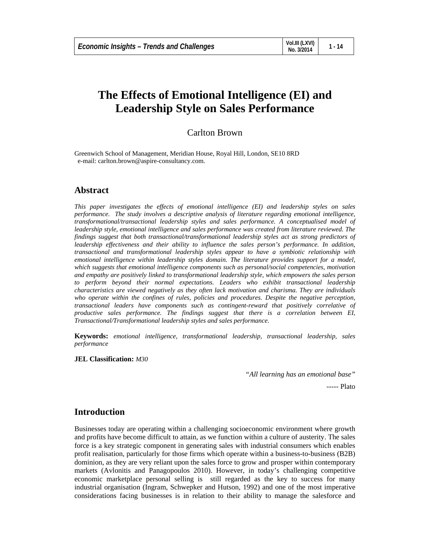# **The Effects of Emotional Intelligence (EI) and Leadership Style on Sales Performance**

# Carlton Brown

Greenwich School of Management, Meridian House, Royal Hill, London, SE10 8RD e-mail: carlton.brown@aspire-consultancy.com.

# **Abstract**

*This paper investigates the effects of emotional intelligence (EI) and leadership styles on sales performance. The study involves a descriptive analysis of literature regarding emotional intelligence, transformational/transactional leadership styles and sales performance. A conceptualised model of leadership style, emotional intelligence and sales performance was created from literature reviewed. The findings suggest that both transactional/transformational leadership styles act as strong predictors of leadership effectiveness and their ability to influence the sales person's performance. In addition, transactional and transformational leadership styles appear to have a symbiotic relationship with emotional intelligence within leadership styles domain. The literature provides support for a model, which suggests that emotional intelligence components such as personal/social competencies, motivation and empathy are positively linked to transformational leadership style, which empowers the sales person*  to perform beyond their normal expectations. Leaders who exhibit transactional leadership *characteristics are viewed negatively as they often lack motivation and charisma. They are individuals who operate within the confines of rules, policies and procedures. Despite the negative perception, transactional leaders have components such as contingent-reward that positively correlative of productive sales performance. The findings suggest that there is a correlation between EI, Transactional/Transformational leadership styles and sales performance.* 

**Keywords:** *emotional intelligence, transformational leadership, transactional leadership, sales performance* 

#### **JEL Classification:** *M30*

 *"All learning has an emotional base"*

----- Plato

# **Introduction**

Businesses today are operating within a challenging socioeconomic environment where growth and profits have become difficult to attain, as we function within a culture of austerity. The sales force is a key strategic component in generating sales with industrial consumers which enables profit realisation, particularly for those firms which operate within a business-to-business (B2B) dominion, as they are very reliant upon the sales force to grow and prosper within contemporary markets (Avlonitis and Panagopoulos 2010). However, in today's challenging competitive economic marketplace personal selling is still regarded as the key to success for many industrial organisation (Ingram, Schwepker and Hutson, 1992) and one of the most imperative considerations facing businesses is in relation to their ability to manage the salesforce and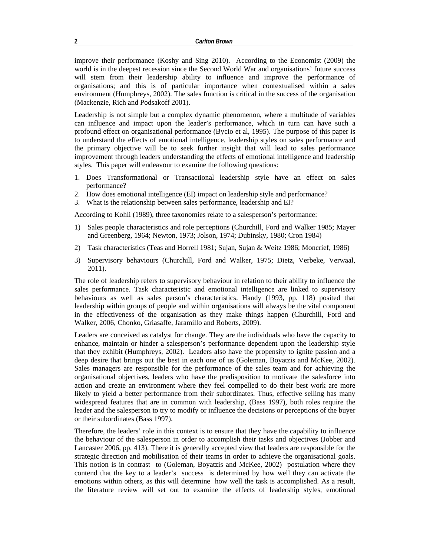improve their performance (Koshy and Sing 2010). According to the Economist (2009) the world is in the deepest recession since the Second World War and organisations' future success will stem from their leadership ability to influence and improve the performance of organisations; and this is of particular importance when contextualised within a sales environment (Humphreys, 2002). The sales function is critical in the success of the organisation (Mackenzie, Rich and Podsakoff 2001).

Leadership is not simple but a complex dynamic phenomenon, where a multitude of variables can influence and impact upon the leader's performance, which in turn can have such a profound effect on organisational performance (Bycio et al, 1995). The purpose of this paper is to understand the effects of emotional intelligence, leadership styles on sales performance and the primary objective will be to seek further insight that will lead to sales performance improvement through leaders understanding the effects of emotional intelligence and leadership styles. This paper will endeavour to examine the following questions:

- 1. Does Transformational or Transactional leadership style have an effect on sales performance?
- 2. How does emotional intelligence (EI) impact on leadership style and performance?
- 3. What is the relationship between sales performance, leadership and EI?

According to Kohli (1989), three taxonomies relate to a salesperson's performance:

- 1) Sales people characteristics and role perceptions (Churchill, Ford and Walker 1985; Mayer and Greenberg, 1964; Newton, 1973; Jolson, 1974; Dubinsky, 1980; Cron 1984)
- 2) Task characteristics (Teas and Horrell 1981; Sujan, Sujan & Weitz 1986; Moncrief, 1986)
- 3) Supervisory behaviours (Churchill, Ford and Walker, 1975; Dietz, Verbeke, Verwaal, 2011).

The role of leadership refers to supervisory behaviour in relation to their ability to influence the sales performance. Task characteristic and emotional intelligence are linked to supervisory behaviours as well as sales person's characteristics. Handy (1993, pp. 118) posited that leadership within groups of people and within organisations will always be the vital component in the effectiveness of the organisation as they make things happen (Churchill, Ford and Walker, 2006, Chonko, Griasaffe, Jaramillo and Roberts, 2009).

Leaders are conceived as catalyst for change. They are the individuals who have the capacity to enhance, maintain or hinder a salesperson's performance dependent upon the leadership style that they exhibit (Humphreys, 2002). Leaders also have the propensity to ignite passion and a deep desire that brings out the best in each one of us (Goleman, Boyatzis and McKee, 2002). Sales managers are responsible for the performance of the sales team and for achieving the organisational objectives, leaders who have the predisposition to motivate the salesforce into action and create an environment where they feel compelled to do their best work are more likely to yield a better performance from their subordinates. Thus, effective selling has many widespread features that are in common with leadership, (Bass 1997), both roles require the leader and the salesperson to try to modify or influence the decisions or perceptions of the buyer or their subordinates (Bass 1997).

Therefore, the leaders' role in this context is to ensure that they have the capability to influence the behaviour of the salesperson in order to accomplish their tasks and objectives (Jobber and Lancaster 2006, pp. 413). There it is generally accepted view that leaders are responsible for the strategic direction and mobilisation of their teams in order to achieve the organisational goals. This notion is in contrast to (Goleman, Boyatzis and McKee, 2002) postulation where they contend that the key to a leader's success is determined by how well they can activate the emotions within others, as this will determine how well the task is accomplished. As a result, the literature review will set out to examine the effects of leadership styles, emotional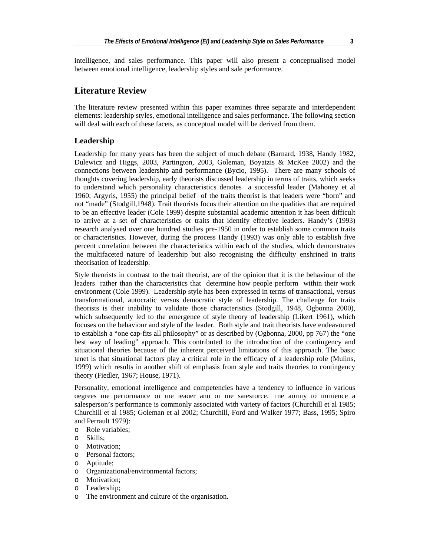intelligence, and sales performance. This paper will also present a conceptualised model between emotional intelligence, leadership styles and sale performance.

# **Literature Review**

The literature review presented within this paper examines three separate and interdependent elements: leadership styles, emotional intelligence and sales performance. The following section will deal with each of these facets, as conceptual model will be derived from them.

#### **Leadership**

Leadership for many years has been the subject of much debate (Barnard, 1938, Handy 1982, Dulewicz and Higgs, 2003, Partington, 2003, Goleman, Boyatzis & McKee 2002) and the connections between leadership and performance (Bycio, 1995). There are many schools of thoughts covering leadership, early theorists discussed leadership in terms of traits, which seeks to understand which personality characteristics denotes a successful leader (Mahoney et al 1960; Argyris, 1955) the principal belief of the traits theorist is that leaders were "born" and not "made" (Stodgill,1948). Trait theorists focus their attention on the qualities that are required to be an effective leader (Cole 1999) despite substantial academic attention it has been difficult to arrive at a set of characteristics or traits that identify effective leaders. Handy's (1993) research analysed over one hundred studies pre-1950 in order to establish some common traits or characteristics. However, during the process Handy (1993) was only able to establish five percent correlation between the characteristics within each of the studies, which demonstrates the multifaceted nature of leadership but also recognising the difficulty enshrined in traits theorisation of leadership.

Style theorists in contrast to the trait theorist, are of the opinion that it is the behaviour of the leaders rather than the characteristics that determine how people perform within their work environment (Cole 1999). Leadership style has been expressed in terms of transactional, versus transformational, autocratic versus democratic style of leadership. The challenge for traits theorists is their inability to validate those characteristics (Stodgill, 1948, Ogbonna 2000), which subsequently led to the emergence of style theory of leadership (Likert 1961), which focuses on the behaviour and style of the leader. Both style and trait theorists have endeavoured to establish a "one cap-fits all philosophy" or as described by (Ogbonna, 2000, pp 767) the "one best way of leading" approach. This contributed to the introduction of the contingency and situational theories because of the inherent perceived limitations of this approach. The basic tenet is that situational factors play a critical role in the efficacy of a leadership role (Mulins, 1999) which results in another shift of emphasis from style and traits theories to contingency theory (Fiedler, 1967; House, 1971).

Personality, emotional intelligence and competencies have a tendency to influence in various degrees the performance of the leader and of the salesforce. The ability to influence a salesperson's performance is commonly associated with variety of factors (Churchill et al 1985; Churchill et al 1985; Goleman et al 2002; Churchill, Ford and Walker 1977; Bass, 1995; Spiro and Perrault 1979):

- o Role variables;
- o Skills;
- o Motivation;
- o Personal factors;
- o Aptitude;
- o Organizational/environmental factors;
- o Motivation;
- o Leadership;
- o The environment and culture of the organisation.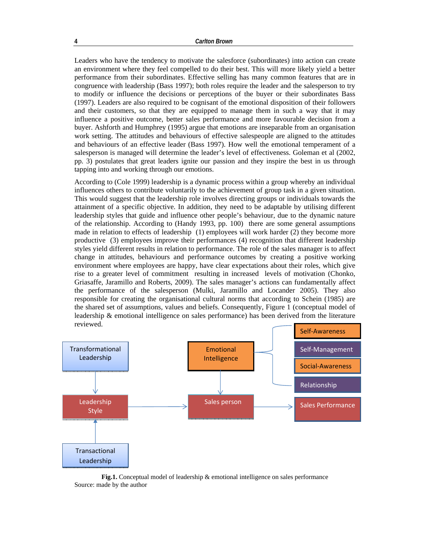Leaders who have the tendency to motivate the salesforce (subordinates) into action can create an environment where they feel compelled to do their best. This will more likely yield a better performance from their subordinates. Effective selling has many common features that are in congruence with leadership (Bass 1997); both roles require the leader and the salesperson to try to modify or influence the decisions or perceptions of the buyer or their subordinates Bass (1997). Leaders are also required to be cognisant of the emotional disposition of their followers and their customers, so that they are equipped to manage them in such a way that it may influence a positive outcome, better sales performance and more favourable decision from a buyer. Ashforth and Humphrey (1995) argue that emotions are inseparable from an organisation work setting. The attitudes and behaviours of effective salespeople are aligned to the attitudes and behaviours of an effective leader (Bass 1997). How well the emotional temperament of a salesperson is managed will determine the leader's level of effectiveness. Goleman et al (2002, pp. 3) postulates that great leaders ignite our passion and they inspire the best in us through tapping into and working through our emotions.

According to (Cole 1999) leadership is a dynamic process within a group whereby an individual influences others to contribute voluntarily to the achievement of group task in a given situation. This would suggest that the leadership role involves directing groups or individuals towards the attainment of a specific objective. In addition, they need to be adaptable by utilising different leadership styles that guide and influence other people's behaviour, due to the dynamic nature of the relationship. According to (Handy 1993, pp. 100) there are some general assumptions made in relation to effects of leadership (1) employees will work harder (2) they become more productive (3) employees improve their performances (4) recognition that different leadership styles yield different results in relation to performance. The role of the sales manager is to affect change in attitudes, behaviours and performance outcomes by creating a positive working environment where employees are happy, have clear expectations about their roles, which give rise to a greater level of commitment resulting in increased levels of motivation (Chonko, Griasaffe, Jaramillo and Roberts, 2009). The sales manager's actions can fundamentally affect the performance of the salesperson (Mulki, Jaramillo and Locander 2005). They also responsible for creating the organisational cultural norms that according to Schein (1985) are the shared set of assumptions, values and beliefs. Consequently, Figure 1 (conceptual model of leadership & emotional intelligence on sales performance) has been derived from the literature reviewed.



**Fig.1.** Conceptual model of leadership & emotional intelligence on sales performance Source: made by the author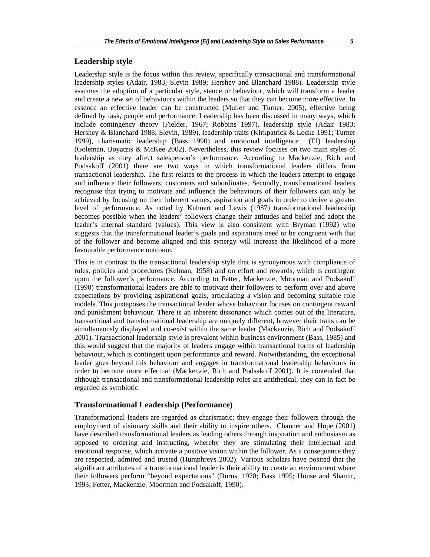### **Leadership style**

Leadership style is the focus within this review, specifically transactional and transformational leadership styles (Adair, 1983; Slevin 1989; Hershey and Blanchard 1988). Leadership style assumes the adoption of a particular style, stance or behaviour, which will transform a leader and create a new set of behaviours within the leaders so that they can become more effective. In essence an effective leader can be constructed (Muller and Turner, 2005), effective being defined by task, people and performance. Leadership has been discussed in many ways, which include contingency theory (Fielder, 1967; Robbins 1997), leadership style (Adair 1983; Hershey & Blanchard 1988; Slevin, 1989), leadership traits (Kirkpatrick & Locke 1991; Turner 1999), charismatic leadership (Bass 1990) and emotional intelligence (EI) leadership (Goleman, Boyatzis & McKee 2002). Nevertheless, this review focuses on two main styles of leadership as they affect salesperson's performance. According to Mackenzie, Rich and Podsakoff (2001) there are two ways in which transformational leaders differs from transactional leadership. The first relates to the process in which the leaders attempt to engage and influence their followers, customers and subordinates. Secondly, transformational leaders recognise that trying to motivate and influence the behaviours of their followers can only be achieved by focusing on their inherent values, aspiration and goals in order to derive a greater level of performance. As noted by Kuhnert and Lewis (1987) transformational leadership becomes possible when the leaders' followers change their attitudes and belief and adopt the leader's internal standard (values). This view is also consistent with Bryman (1992) who suggests that the transformational leader's goals and aspirations need to be congruent with that of the follower and become aligned and this synergy will increase the likelihood of a more favourable performance outcome.

This is in contrast to the transactional leadership style that is synonymous with compliance of rules, policies and procedures (Kelman, 1958) and on effort and rewards, which is contingent upon the follower's performance. According to Fetter, Mackenzie, Moorman and Podsakoff (1990) transformational leaders are able to motivate their followers to perform over and above expectations by providing aspirational goals, articulating a vision and becoming suitable role models. This juxtaposes the transactional leader whose behaviour focuses on contingent reward and punishment behaviour. There is an inherent dissonance which comes out of the literature, transactional and transformational leadership are uniquely different, however their traits can be simultaneously displayed and co-exist within the same leader (Mackenzie, Rich and Podsakoff 2001). Transactional leadership style is prevalent within business environment (Bass, 1985) and this would suggest that the majority of leaders engage within transactional forms of leadership behaviour, which is contingent upon performance and reward. Notwithstanding, the exceptional leader goes beyond this behaviour and engages in transformational leadership behaviours in order to become more effectual (Mackenzie, Rich and Podsakoff 2001). It is contended that although transactional and transformational leadership roles are antithetical, they can in fact be regarded as symbiotic.

#### **Transformational Leadership (Performance)**

Transformational leaders are regarded as charismatic; they engage their followers through the employment of visionary skills and their ability to inspire others. Channer and Hope (2001) have described transformational leaders as leading others through inspiration and enthusiasm as opposed to ordering and instructing, whereby they are stimulating their intellectual and emotional response, which activate a positive vision within the follower. As a consequence they are respected, admired and trusted (Humphreys 2002). Various scholars have posited that the significant attributes of a transformational leader is their ability to create an environment where their followers perform "beyond expectations" (Burns, 1978; Bass 1995; House and Shamir, 1993; Fetter, Mackenzie, Moorman and Podsakoff, 1990).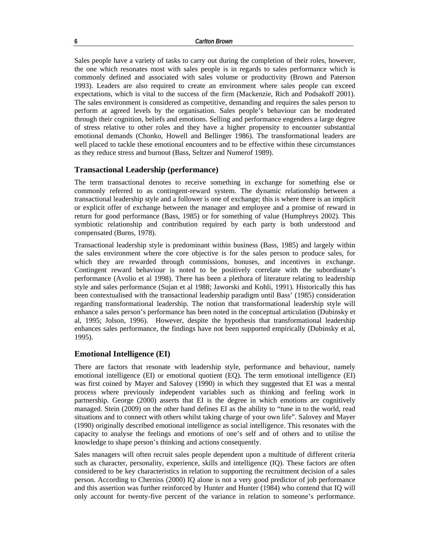Sales people have a variety of tasks to carry out during the completion of their roles, however, the one which resonates most with sales people is in regards to sales performance which is commonly defined and associated with sales volume or productivity (Brown and Paterson 1993). Leaders are also required to create an environment where sales people can exceed expectations, which is vital to the success of the firm (Mackenzie, Rich and Podsakoff 2001). The sales environment is considered as competitive, demanding and requires the sales person to perform at agreed levels by the organisation. Sales people's behaviour can be moderated through their cognition, beliefs and emotions. Selling and performance engenders a large degree of stress relative to other roles and they have a higher propensity to encounter substantial emotional demands (Chonko, Howell and Bellinger 1986). The transformational leaders are well placed to tackle these emotional encounters and to be effective within these circumstances as they reduce stress and burnout (Bass, Seltzer and Numerof 1989).

## **Transactional Leadership (performance)**

The term transactional denotes to receive something in exchange for something else or commonly referred to as contingent-reward system. The dynamic relationship between a transactional leadership style and a follower is one of exchange; this is where there is an implicit or explicit offer of exchange between the manager and employee and a promise of reward in return for good performance (Bass, 1985) or for something of value (Humphreys 2002). This symbiotic relationship and contribution required by each party is both understood and compensated (Burns, 1978).

Transactional leadership style is predominant within business (Bass, 1985) and largely within the sales environment where the core objective is for the sales person to produce sales, for which they are rewarded through commissions, bonuses, and incentives in exchange. Contingent reward behaviour is noted to be positively correlate with the subordinate's performance (Avolio et al 1998). There has been a plethora of literature relating to leadership style and sales performance (Sujan et al 1988; Jaworski and Kohli, 1991). Historically this has been contextualised with the transactional leadership paradigm until Bass' (1985) consideration regarding transformational leadership. The notion that transformational leadership style will enhance a sales person's performance has been noted in the conceptual articulation (Dubinsky et al, 1995; Jolson, 1996). However, despite the hypothesis that transformational leadership enhances sales performance, the findings have not been supported empirically (Dubinsky et al, 1995).

#### **Emotional Intelligence (EI)**

There are factors that resonate with leadership style, performance and behaviour, namely emotional intelligence (EI) or emotional quotient (EQ). The term emotional intelligence (EI) was first coined by Mayer and Salovey (1990) in which they suggested that EI was a mental process where previously independent variables such as thinking and feeling work in partnership. George (2000) asserts that EI is the degree in which emotions are cognitively managed. Stein (2009) on the other hand defines EI as the ability to "tune in to the world, read situations and to connect with others whilst taking charge of your own life". Salovey and Mayer (1990) originally described emotional intelligence as social intelligence. This resonates with the capacity to analyse the feelings and emotions of one's self and of others and to utilise the knowledge to shape person's thinking and actions consequently.

Sales managers will often recruit sales people dependent upon a multitude of different criteria such as character, personality, experience, skills and intelligence (IQ). These factors are often considered to be key characteristics in relation to supporting the recruitment decision of a sales person. According to Cherniss (2000) IQ alone is not a very good predictor of job performance and this assertion was further reinforced by Hunter and Hunter (1984) who contend that IQ will only account for twenty-five percent of the variance in relation to someone's performance.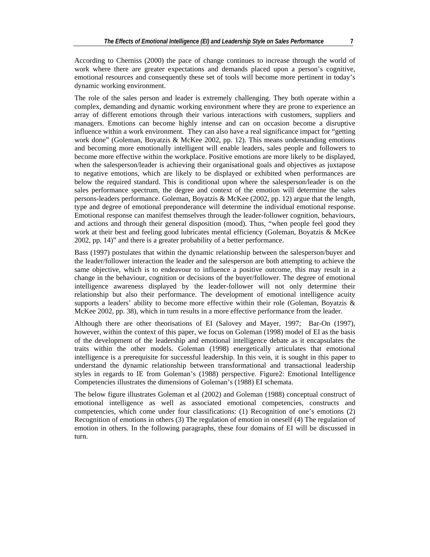According to Cherniss (2000) the pace of change continues to increase through the world of work where there are greater expectations and demands placed upon a person's cognitive, emotional resources and consequently these set of tools will become more pertinent in today's dynamic working environment.

The role of the sales person and leader is extremely challenging. They both operate within a complex, demanding and dynamic working environment where they are prone to experience an array of different emotions through their various interactions with customers, suppliers and managers. Emotions can become highly intense and can on occasion become a disruptive influence within a work environment. They can also have a real significance impact for "getting work done" (Goleman, Boyatzis & McKee 2002, pp. 12). This means understanding emotions and becoming more emotionally intelligent will enable leaders, sales people and followers to become more effective within the workplace. Positive emotions are more likely to be displayed, when the salesperson/leader is achieving their organisational goals and objectives as juxtapose to negative emotions, which are likely to be displayed or exhibited when performances are below the required standard. This is conditional upon where the salesperson/leader is on the sales performance spectrum, the degree and context of the emotion will determine the sales persons-leaders performance. Goleman, Boyatzis & McKee (2002, pp. 12) argue that the length, type and degree of emotional preponderance will determine the individual emotional response. Emotional response can manifest themselves through the leader-follower cognition, behaviours, and actions and through their general disposition (mood). Thus, "when people feel good they work at their best and feeling good lubricates mental efficiency (Goleman, Boyatzis & McKee 2002, pp. 14)" and there is a greater probability of a better performance.

Bass (1997) postulates that within the dynamic relationship between the salesperson/buyer and the leader/follower interaction the leader and the salesperson are both attempting to achieve the same objective, which is to endeavour to influence a positive outcome, this may result in a change in the behaviour, cognition or decisions of the buyer/follower. The degree of emotional intelligence awareness displayed by the leader-follower will not only determine their relationship but also their performance. The development of emotional intelligence acuity supports a leaders' ability to become more effective within their role (Goleman, Boyatzis  $\&$ McKee 2002, pp. 38), which in turn results in a more effective performance from the leader.

Although there are other theorisations of EI (Salovey and Mayer, 1997; Bar-On (1997), however, within the context of this paper, we focus on Goleman (1998) model of EI as the basis of the development of the leadership and emotional intelligence debate as it encapsulates the traits within the other models. Goleman (1998) energetically articulates that emotional intelligence is a prerequisite for successful leadership. In this vein, it is sought in this paper to understand the dynamic relationship between transformational and transactional leadership styles in regards to IE from Goleman's (1988) perspective. Figure2: Emotional Intelligence Competencies illustrates the dimensions of Goleman's (1988) EI schemata.

The below figure illustrates Goleman et al (2002) and Goleman (1988) conceptual construct of emotional intelligence as well as associated emotional competencies, constructs and competencies, which come under four classifications: (1) Recognition of one's emotions (2) Recognition of emotions in others (3) The regulation of emotion in oneself (4) The regulation of emotion in others. In the following paragraphs, these four domains of EI will be discussed in turn.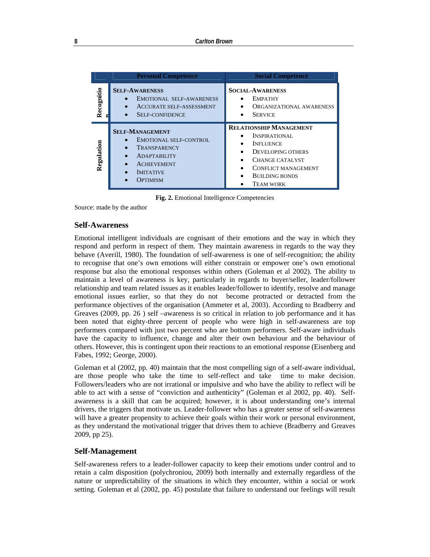|            | <b>Personal Competence</b>                                                                                                                           | <b>Social Competence</b>                                                                                                                                                                                              |
|------------|------------------------------------------------------------------------------------------------------------------------------------------------------|-----------------------------------------------------------------------------------------------------------------------------------------------------------------------------------------------------------------------|
| Recognitio | <b>SELF-AWARENESS</b><br><b>EMOTIONAL SELF-AWARENESS</b><br><b>ACCURATE SELF-ASSESSMENT</b><br><b>SELF-CONFIDENCE</b>                                | <b>SOCIAL-AWARENESS</b><br><b>EMPATHY</b><br>$\bullet$<br>ORGANIZATIONAL AWARENESS<br>٠<br><b>SERVICE</b>                                                                                                             |
| Regulation | <b>SELF-MANAGEMENT</b><br>EMOTIONAL SELF-CONTROL<br>TRANSPARENCY<br><b>ADAPTABILITY</b><br><b>ACHIEVEMENT</b><br><b>IMITATIVE</b><br><b>OPTIMISM</b> | <b>RELATIONSHIP MANAGEMENT</b><br>INSPIRATIONAL<br><b>INFLUENCE</b><br>$\bullet$<br>DEVELOPING OTHERS<br>٠<br>CHANGE CATALYST<br><b>CONFLICT MANAGEMENT</b><br>$\bullet$<br><b>BUILDING BONDS</b><br><b>TEAM WORK</b> |

**Fig. 2.** Emotional Intelligence Competencies

Source: made by the author

#### **Self-Awareness**

Emotional intelligent individuals are cognisant of their emotions and the way in which they respond and perform in respect of them. They maintain awareness in regards to the way they behave (Averill, 1980). The foundation of self-awareness is one of self-recognition; the ability to recognise that one's own emotions will either constrain or empower one's own emotional response but also the emotional responses within others (Goleman et al 2002). The ability to maintain a level of awareness is key, particularly in regards to buyer/seller, leader/follower relationship and team related issues as it enables leader/follower to identify, resolve and manage emotional issues earlier, so that they do not become protracted or detracted from the performance objectives of the organisation (Ammeter et al, 2003). According to Bradberry and Greaves (2009, pp. 26 ) self –awareness is so critical in relation to job performance and it has been noted that eighty-three percent of people who were high in self-awareness are top performers compared with just two percent who are bottom performers. Self-aware individuals have the capacity to influence, change and alter their own behaviour and the behaviour of others. However, this is contingent upon their reactions to an emotional response (Eisenberg and Fabes, 1992; George, 2000).

Goleman et al (2002, pp. 40) maintain that the most compelling sign of a self-aware individual, are those people who take the time to self-reflect and take time to make decision. Followers/leaders who are not irrational or impulsive and who have the ability to reflect will be able to act with a sense of "conviction and authenticity" (Goleman et al 2002, pp. 40). Selfawareness is a skill that can be acquired; however, it is about understanding one's internal drivers, the triggers that motivate us. Leader-follower who has a greater sense of self-awareness will have a greater propensity to achieve their goals within their work or personal environment, as they understand the motivational trigger that drives them to achieve (Bradberry and Greaves 2009, pp 25).

#### **Self-Management**

Self-awareness refers to a leader-follower capacity to keep their emotions under control and to retain a calm disposition (polychroniou, 2009) both internally and externally regardless of the nature or unpredictability of the situations in which they encounter, within a social or work setting. Goleman et al (2002, pp. 45) postulate that failure to understand our feelings will result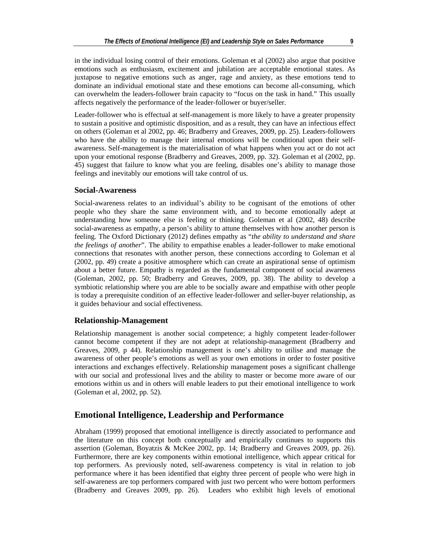in the individual losing control of their emotions. Goleman et al (2002) also argue that positive emotions such as enthusiasm, excitement and jubilation are acceptable emotional states. As juxtapose to negative emotions such as anger, rage and anxiety, as these emotions tend to dominate an individual emotional state and these emotions can become all-consuming, which can overwhelm the leaders-follower brain capacity to "focus on the task in hand." This usually affects negatively the performance of the leader-follower or buyer/seller.

Leader-follower who is effectual at self-management is more likely to have a greater propensity to sustain a positive and optimistic disposition, and as a result, they can have an infectious effect on others (Goleman et al 2002, pp. 46; Bradberry and Greaves, 2009, pp. 25). Leaders-followers who have the ability to manage their internal emotions will be conditional upon their selfawareness. Self-management is the materialisation of what happens when you act or do not act upon your emotional response (Bradberry and Greaves, 2009, pp. 32). Goleman et al (2002, pp. 45) suggest that failure to know what you are feeling, disables one's ability to manage those feelings and inevitably our emotions will take control of us.

#### **Social-Awareness**

Social-awareness relates to an individual's ability to be cognisant of the emotions of other people who they share the same environment with, and to become emotionally adept at understanding how someone else is feeling or thinking. Goleman et al (2002, 48) describe social-awareness as empathy, a person's ability to attune themselves with how another person is feeling. The Oxford Dictionary (2012) defines empathy as "*the ability to understand and share the feelings of another*". The ability to empathise enables a leader-follower to make emotional connections that resonates with another person, these connections according to Goleman et al (2002, pp. 49) create a positive atmosphere which can create an aspirational sense of optimism about a better future. Empathy is regarded as the fundamental component of social awareness (Goleman, 2002, pp. 50; Bradberry and Greaves, 2009, pp. 38). The ability to develop a symbiotic relationship where you are able to be socially aware and empathise with other people is today a prerequisite condition of an effective leader-follower and seller-buyer relationship, as it guides behaviour and social effectiveness.

#### **Relationship-Management**

Relationship management is another social competence; a highly competent leader-follower cannot become competent if they are not adept at relationship-management (Bradberry and Greaves, 2009, p 44). Relationship management is one's ability to utilise and manage the awareness of other people's emotions as well as your own emotions in order to foster positive interactions and exchanges effectively. Relationship management poses a significant challenge with our social and professional lives and the ability to master or become more aware of our emotions within us and in others will enable leaders to put their emotional intelligence to work (Goleman et al, 2002, pp. 52).

# **Emotional Intelligence, Leadership and Performance**

Abraham (1999) proposed that emotional intelligence is directly associated to performance and the literature on this concept both conceptually and empirically continues to supports this assertion (Goleman, Boyatzis & McKee 2002, pp. 14; Bradberry and Greaves 2009, pp. 26). Furthermore, there are key components within emotional intelligence, which appear critical for top performers. As previously noted, self-awareness competency is vital in relation to job performance where it has been identified that eighty three percent of people who were high in self-awareness are top performers compared with just two percent who were bottom performers (Bradberry and Greaves 2009, pp. 26). Leaders who exhibit high levels of emotional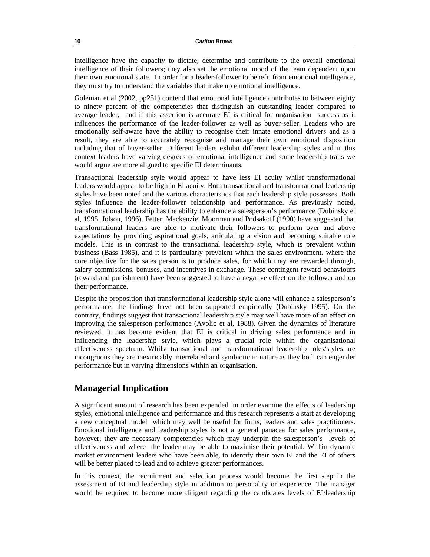intelligence have the capacity to dictate, determine and contribute to the overall emotional intelligence of their followers; they also set the emotional mood of the team dependent upon their own emotional state. In order for a leader-follower to benefit from emotional intelligence, they must try to understand the variables that make up emotional intelligence.

Goleman et al (2002, pp251) contend that emotional intelligence contributes to between eighty to ninety percent of the competencies that distinguish an outstanding leader compared to average leader, and if this assertion is accurate EI is critical for organisation success as it influences the performance of the leader-follower as well as buyer-seller. Leaders who are emotionally self-aware have the ability to recognise their innate emotional drivers and as a result, they are able to accurately recognise and manage their own emotional disposition including that of buyer-seller. Different leaders exhibit different leadership styles and in this context leaders have varying degrees of emotional intelligence and some leadership traits we would argue are more aligned to specific EI determinants.

Transactional leadership style would appear to have less EI acuity whilst transformational leaders would appear to be high in EI acuity. Both transactional and transformational leadership styles have been noted and the various characteristics that each leadership style possesses. Both styles influence the leader-follower relationship and performance. As previously noted, transformational leadership has the ability to enhance a salesperson's performance (Dubinsky et al, 1995, Jolson, 1996). Fetter, Mackenzie, Moorman and Podsakoff (1990) have suggested that transformational leaders are able to motivate their followers to perform over and above expectations by providing aspirational goals, articulating a vision and becoming suitable role models. This is in contrast to the transactional leadership style, which is prevalent within business (Bass 1985), and it is particularly prevalent within the sales environment, where the core objective for the sales person is to produce sales, for which they are rewarded through, salary commissions, bonuses, and incentives in exchange. These contingent reward behaviours (reward and punishment) have been suggested to have a negative effect on the follower and on their performance.

Despite the proposition that transformational leadership style alone will enhance a salesperson's performance, the findings have not been supported empirically (Dubinsky 1995). On the contrary, findings suggest that transactional leadership style may well have more of an effect on improving the salesperson performance (Avolio et al, 1988). Given the dynamics of literature reviewed, it has become evident that EI is critical in driving sales performance and in influencing the leadership style, which plays a crucial role within the organisational effectiveness spectrum. Whilst transactional and transformational leadership roles/styles are incongruous they are inextricably interrelated and symbiotic in nature as they both can engender performance but in varying dimensions within an organisation.

# **Managerial Implication**

A significant amount of research has been expended in order examine the effects of leadership styles, emotional intelligence and performance and this research represents a start at developing a new conceptual model which may well be useful for firms, leaders and sales practitioners. Emotional intelligence and leadership styles is not a general panacea for sales performance, however, they are necessary competencies which may underpin the salesperson's levels of effectiveness and where the leader may be able to maximise their potential. Within dynamic market environment leaders who have been able, to identify their own EI and the EI of others will be better placed to lead and to achieve greater performances.

In this context, the recruitment and selection process would become the first step in the assessment of EI and leadership style in addition to personality or experience. The manager would be required to become more diligent regarding the candidates levels of EI/leadership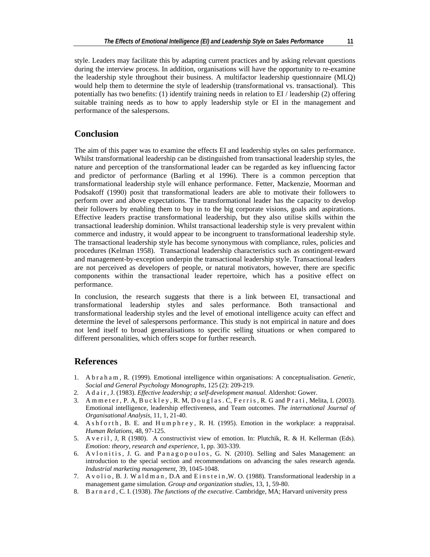style. Leaders may facilitate this by adapting current practices and by asking relevant questions during the interview process. In addition, organisations will have the opportunity to re-examine the leadership style throughout their business. A multifactor leadership questionnaire (MLQ) would help them to determine the style of leadership (transformational vs. transactional). This potentially has two benefits: (1) identify training needs in relation to EI / leadership (2) offering suitable training needs as to how to apply leadership style or EI in the management and performance of the salespersons.

# **Conclusion**

The aim of this paper was to examine the effects EI and leadership styles on sales performance. Whilst transformational leadership can be distinguished from transactional leadership styles, the nature and perception of the transformational leader can be regarded as key influencing factor and predictor of performance (Barling et al 1996). There is a common perception that transformational leadership style will enhance performance. Fetter, Mackenzie, Moorman and Podsakoff (1990) posit that transformational leaders are able to motivate their followers to perform over and above expectations. The transformational leader has the capacity to develop their followers by enabling them to buy in to the big corporate visions, goals and aspirations. Effective leaders practise transformational leadership, but they also utilise skills within the transactional leadership dominion. Whilst transactional leadership style is very prevalent within commerce and industry, it would appear to be incongruent to transformational leadership style. The transactional leadership style has become synonymous with compliance, rules, policies and procedures (Kelman 1958). Transactional leadership characteristics such as contingent-reward and management-by-exception underpin the transactional leadership style. Transactional leaders are not perceived as developers of people, or natural motivators, however, there are specific components within the transactional leader repertoire, which has a positive effect on performance.

In conclusion, the research suggests that there is a link between EI, transactional and transformational leadership styles and sales performance. Both transactional and transformational leadership styles and the level of emotional intelligence acuity can effect and determine the level of salespersons performance. This study is not empirical in nature and does not lend itself to broad generalisations to specific selling situations or when compared to different personalities, which offers scope for further research.

## **References**

- 1. A b r a h a m , R. (1999). Emotional intelligence within organisations: A conceptualisation. *Genetic, Social and General Psychology Monographs*, 125 (2): 209-219.
- 2. A d a i r , J. (1983). *Effective leadership; a self-development manual*. Aldershot: Gower.
- 3. A m m e t e r, P. A, B u c k l e y, R. M, D o u g l a s . C, F e r r i s, R. G and P r a t i, Melita, L (2003). Emotional intelligence, leadership effectiveness, and Team outcomes. *The international Journal of Organisational Analysis*, 11, 1, 21-40.
- 4. A s h f o r t h, B. E. and Humphrey, R. H. (1995). Emotion in the workplace: a reappraisal. *Human Relations*, 48, 97-125.
- 5. A v e r i l, J, R (1980). A constructivist view of emotion. In: Plutchik, R. & H. Kellerman (Eds). *Emotion: theory, research and experience*, 1, pp. 303-339.
- 6. A v l o n it is, J. G. and P a n a g o p o u l o s, G. N. (2010). Selling and Sales Management: an introduction to the special section and recommendations on advancing the sales research agenda. *Industrial marketing management*, 39, 1045-1048.
- 7. A v o li o, B. J. W a l d m a n, D.A and E i n s t e i n, W. O. (1988). Transformational leadership in a management game simulation. *Group and organization studies*, 13, 1, 59-80.
- 8. B a r n a r d , C. I. (1938). *The functions of the executive*. Cambridge, MA; Harvard university press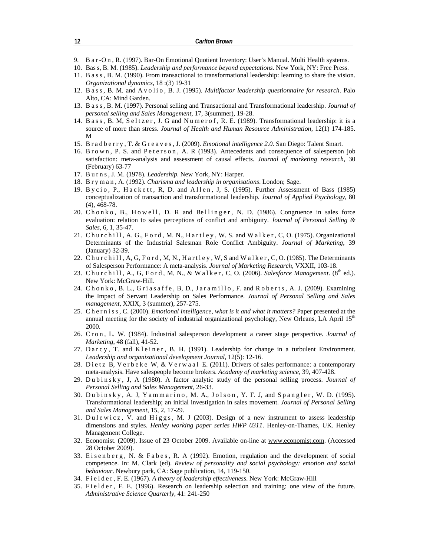- 9. B a r -O n , R. (1997). Bar-On Emotional Quotient Inventory: User's Manual. Multi Health systems.
- 10. Bas s, B. M. (1985). *Leadership and performance beyond expectations*. New York, NY: Free Press.
- 11. B a s s , B. M. (1990). From transactional to transformational leadership: learning to share the vision. *Organizational dynamics*, 18 :(3) 19-31
- 12. B a s s, B. M. and A v o lio, B. J. (1995). *Multifactor leadership questionnaire for research*. Palo Alto, CA: Mind Garden.
- 13. B a s s , B. M. (1997). Personal selling and Transactional and Transformational leadership. *Journal of personal selling and Sales Management*, 17, 3(summer), 19-28.
- 14. B ass, B. M, Seltzer, J. G and Numerof, R. E. (1989). Transformational leadership: it is a source of more than stress. *Journal of Health and Human Resource Administration*, 12(1) 174-185. M
- 15. B r a d b e r r y , T. & G r e a v e s , J. (2009). *Emotional intelligence 2.0*. San Diego: Talent Smart.
- 16. B r o w n, P. S. and P e t e r s o n, A. R (1993). Antecedents and consequence of salesperson job satisfaction: meta-analysis and assessment of causal effects. *Journal of marketing research*, 30 (February) 63-77
- 17. B u r n s , J. M. (1978). *Leadership*. New York, NY: Harper.
- 18. B r y m a n , A. (1992). *Charisma and leadership in organisations*. London; Sage.
- 19. Bycio, P., Hackett, R, D. and Allen, J, S. (1995). Further Assessment of Bass (1985) conceptualization of transaction and transformational leadership. *Journal of Applied Psychology*, 80 (4), 468-78.
- 20. Chonko, B., Howell, D. R and Bellinger, N. D. (1986). Congruence in sales force evaluation: relation to sales perceptions of conflict and ambiguity. *Journal of Personal Selling & Sales*, 6, 1, 35-47.
- 21. Churchill, A. G., Ford, M. N., Hartley, W. S. and Walker, C, O. (1975). Organizational Determinants of the Industrial Salesman Role Conflict Ambiguity. *Journal of Marketing*, 39 (January) 32-39.
- 22. C h u r c h i l l , A, G, F o r d , M, N., H a r t l e y , W, S and W a l k e r , C, O. (1985). The Determinants of Salesperson Performance: A meta-analysis. *Journal of Marketing Research*, VXXII, 103-18.
- 23. Churchill, A., G, Ford, M, N., & Walker, C, O. (2006). *Salesforce Management*. (8<sup>th</sup> ed.). New York: McGraw-Hill.
- 24. Chonko, B. L., Griasaffe, B, D., Jaramillo, F. and Roberts, A. J. (2009). Examining the Impact of Servant Leadership on Sales Performance. *Journal of Personal Selling and Sales management*, XXIX, 3 (summer), 257-275.
- 25. C h e r n i s s , C. (2000). *Emotional intelligence, what is it and what it matters?* Paper presented at the annual meeting for the society of industrial organizational psychology, New Orleans, LA April 15<sup>th</sup> 2000.
- 26. C r o n , L. W. (1984). Industrial salesperson development a career stage perspective. *Journal of Marketing*, 48 (fall), 41-52.
- 27. Darcy, T. and Kleiner, B. H. (1991). Leadership for change in a turbulent Environment. *Leadership and organisational development Journal*, 12(5): 12-16.
- 28. Dietz B, Verbeke W, & Verwaal E. (2011). Drivers of sales performance: a contemporary meta-analysis. Have salespeople become brokers. *Academy of marketing science*, 39, 407-428.
- 29. D u b i n s k y , J, A (1980). A factor analytic study of the personal selling process. *Journal of Personal Selling and Sales Management*, 26-33.
- 30. Dubinsky, A. J, Yammarino, M. A., Jolson, Y. F. J, and Spangler, W. D. (1995). Transformational leadership; an initial investigation in sales movement. *Journal of Personal Selling and Sales Management*, 15, 2, 17-29.
- 31. Du l e w i c z, V. and Higgs, M. J (2003). Design of a new instrument to assess leadership dimensions and styles. *Henley working paper series HWP 0311*. Henley-on-Thames, UK. Henley Management College.
- 32. Economist. (2009). Issue of 23 October 2009. Available on-line at www.economist.com. (Accessed 28 October 2009).
- 33. Eisenberg, N. & Fabes, R. A (1992). Emotion, regulation and the development of social competence. In: M. Clark (ed). *Review of personality and social psychology: emotion and social behaviour*. Newbury park, CA: Sage publication, 14, 119-150.
- 34. F i e l d e r , F. E. (1967). *A theory of leadership effectiveness*. New York: McGraw-Hill
- 35. Fielder, F. E. (1996). Research on leadership selection and training: one view of the future. *Administrative Science Quarterly*, 41: 241-250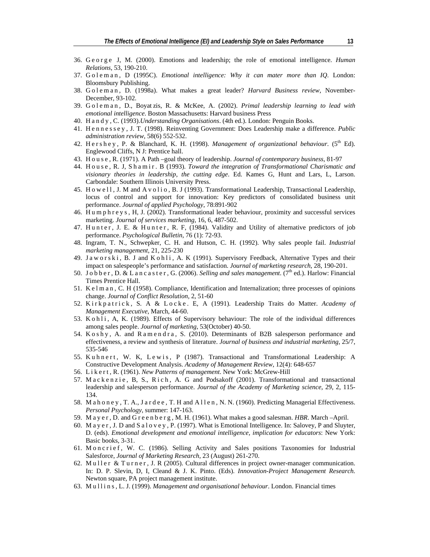- 36. G e o r g e J, M. (2000). Emotions and leadership; the role of emotional intelligence. *Human Relations*, 53, 190-210.
- 37. G o l e m a n, D (1995C). *Emotional intelligence: Why it can mater more than IQ*. London: Bloomsbury Publishing.
- 38. G o l e m a n, D. (1998a). What makes a great leader? *Harvard Business review*, November-December, 93-102.
- 39. G o l e m a n , D., Boyat zis, R. & McKee, A. (2002). *Primal leadership learning to lead with emotional intelligence*. Boston Massachusetts: Harvard business Press
- 40. H a n d y , C. (1993).*Understanding Organisations*. (4th ed.). London: Penguin Books.
- 41. H e n n e s s e y , J. T. (1998). Reinventing Government: Does Leadership make a difference. *Public administration review*, 58(6) 552-532.
- 42. H e r s h e y , P. & Blanchard, K. H. (1998). *Management of organizational behaviour*. (5th Ed). Englewood Cliffs, N J: Prentice hall.
- 43. H o u s e , R. (1971). A Path –goal theory of leadership. *Journal of contemporary business*, 81-97
- 44. H o u s e , R. J, S h a m i r . B (1993). *Toward the integration of Transformational Charismatic and visionary theories in leadership, the cutting edge*. Ed. Kames G, Hunt and Lars, L, Larson. Carbondale: Southern Illinois University Press.
- 45. H o w e l l , J. M and A v o lio, B. J (1993). Transformational Leadership, Transactional Leadership, locus of control and support for innovation: Key predictors of consolidated business unit performance. *Journal of applied Psychology*, 78:891-902
- 46. H u m p h r e y s , H, J. (2002). Transformational leader behaviour, proximity and successful services marketing. *Journal of services marketing*, 16, 6, 487-502.
- 47. Hunter, J. E. & Hunter, R. F, (1984). Validity and Utility of alternative predictors of job performance. *Psychological Bulletin*, 76 (1): 72-93.
- 48. Ingram, T. N., Schwepker, C. H. and Hutson, C. H. (1992). Why sales people fail. *Industrial marketing management*, 21, 225-230
- 49. J a w o r s k i , B. J and K o h l i , A. K (1991). Supervisory Feedback, Alternative Types and their impact on salespeople's performance and satisfaction. *Journal of marketing research*, 28, 190-201.
- 50. J o b b e r , D. & L a n c a s t e r , G. (2006). *Selling and sales management*. (7th ed.). Harlow: Financial Times Prentice Hall.
- 51. K e l m a n, C. H (1958). Compliance, Identification and Internalization; three processes of opinions change. *Journal of Conflict Resolution*, 2, 51-60
- 52. Kirkpatrick, S. A & Locke. E, A (1991). Leadership Traits do Matter. Academy of *Management Executive*, March, 44-60.
- 53. K o h l i , A, K. (1989). Effects of Supervisory behaviour: The role of the individual differences among sales people. *Journal of marketing*, 53(October) 40-50.
- 54. K o s h y , A. and R a m e n d r a , S. (2010). Determinants of B2B salesperson performance and effectiveness, a review and synthesis of literature. *Journal of business and industrial marketing,* 25/7, 535-546
- 55. Kuhnert, W. K, Lewis, P (1987). Transactional and Transformational Leadership: A Constructive Development Analysis. *Academy of Management Review*, 12(4): 648-657
- 56. L i k e r t , R. (1961). *New Patterns of management*. New York: McGrew-Hill
- 57. Mackenzie, B, S., Rich, A. G and Podsakoff (2001). Transformational and transactional leadership and salesperson performance. *Journal of the Academy of Marketing science*, 29, 2, 115- 134.
- 58. M a h o n e y , T. A., J a r d e e , T. H and A l l e n , N. N. (1960). Predicting Managerial Effectiveness. *Personal Psychology*, summer: 147-163.
- 59. M a y e r , D. and G r e e n b e r g , M. H. (1961). What makes a good salesman. *HBR*. March –April.
- 60. M a y e r , J. D and S a l o v e y , P. (1997). What is Emotional Intelligence. In: Salovey, P and Sluyter, D. (eds). *Emotional development and emotional intelligence, implication for educators*: New York: Basic books, 3-31.
- 61. M on c rief, W. C. (1986). Selling Activity and Sales positions Taxonomies for Industrial Salesforce, *Journal of Marketing Research*, 23 (August) 261-270.
- 62. Muller & Turner, J. R (2005). Cultural differences in project owner-manager communication. In: D. P. Slevin, D, I, Cleand & J. K. Pinto. (Eds). *Innovation-Project Management Research.*  Newton square, PA project management institute.
- 63. M u l l i n s , L. J. (1999). *Management and organisational behaviour*. London. Financial times